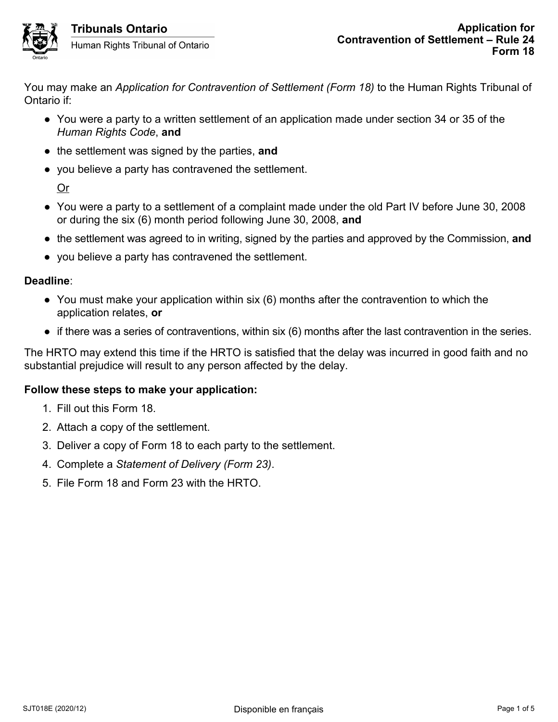

Human Rights Tribunal of Ontario

You may make an *Application for Contravention of Settlement (Form 18)* to the Human Rights Tribunal of Ontario if:

- You were a party to a written settlement of an application made under section 34 or 35 of the *Human Rights Code*, **and**
- the settlement was signed by the parties, **and**
- you believe a party has contravened the settlement.

Or

- You were a party to a settlement of a complaint made under the old Part IV before June 30, 2008 or during the six (6) month period following June 30, 2008, **and**
- the settlement was agreed to in writing, signed by the parties and approved by the Commission, **and**
- you believe a party has contravened the settlement.

## **Deadline**:

- You must make your application within six (6) months after the contravention to which the application relates, **or**
- $\bullet$  if there was a series of contraventions, within six (6) months after the last contravention in the series.

The HRTO may extend this time if the HRTO is satisfied that the delay was incurred in good faith and no substantial prejudice will result to any person affected by the delay.

# **Follow these steps to make your application:**

- 1. Fill out this Form 18.
- 2. Attach a copy of the settlement.
- 3. Deliver a copy of Form 18 to each party to the settlement.
- 4. Complete a *Statement of Delivery (Form 23)*.
- 5. File Form 18 and Form 23 with the HRTO.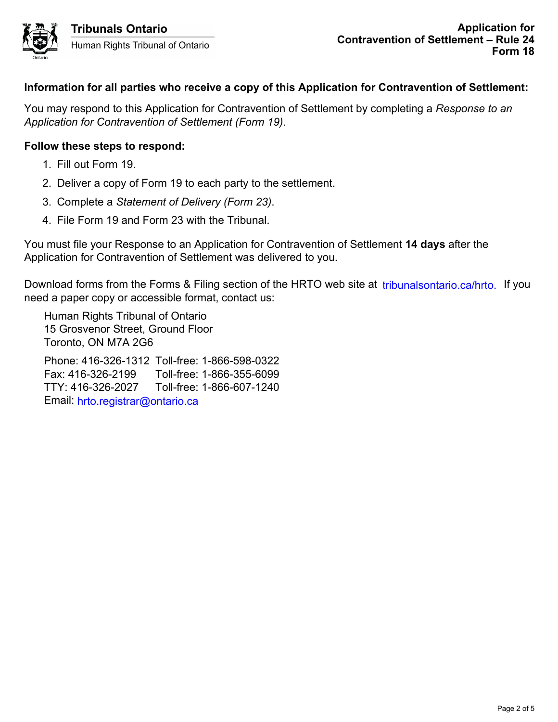

# **Information for all parties who receive a copy of this Application for Contravention of Settlement:**

You may respond to this Application for Contravention of Settlement by completing a *Response to an Application for Contravention of Settlement (Form 19)*.

## **Follow these steps to respond:**

- 1. Fill out Form 19.
- 2. Deliver a copy of Form 19 to each party to the settlement.
- 3. Complete a *Statement of Delivery (Form 23)*.
- 4. File Form 19 and Form 23 with the Tribunal.

You must file your Response to an Application for Contravention of Settlement **14 days** after the Application for Contravention of Settlement was delivered to you.

Download forms from the Forms & Filing section of the HRTO web site at tribunalsontario.ca/hrto. If you need a paper copy or accessible format, contact us: forms from the Forms & Filling section of the HRTO web site at tribunalsontario.ca/hrto. If you<br>er cropy or accessible format, contact us:<br>Rights Tribunal of Ontario<br>svence Street, Ground Floor<br>- 2 of NM7A 2G6<br>- 2 of NM7A

Human Rights Tribunal of Ontario 15 Grosvenor Street, Ground Floor Toronto, ON M7A 2G6

Phone: 416-326-1312 Toll-free: 1-866-598-0322 Fax: 416-326-2199 Toll-free: 1-866-355-6099 TTY: 416-326-2027 Toll-free: 1-866-607-1240 Email: hrto.registrar@ontario.ca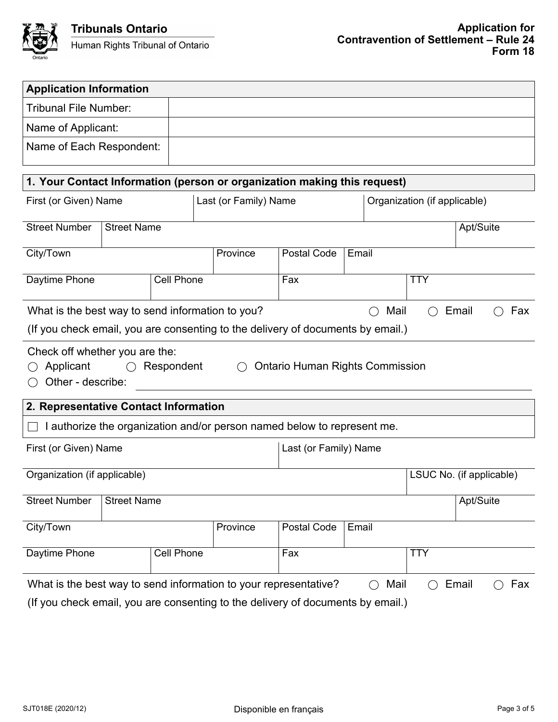

| <b>Application Information</b>                                                                                                                                       |  |            |  |                       |                       |       |                              |                          |  |  |  |
|----------------------------------------------------------------------------------------------------------------------------------------------------------------------|--|------------|--|-----------------------|-----------------------|-------|------------------------------|--------------------------|--|--|--|
| Tribunal File Number:                                                                                                                                                |  |            |  |                       |                       |       |                              |                          |  |  |  |
| Name of Applicant:                                                                                                                                                   |  |            |  |                       |                       |       |                              |                          |  |  |  |
| Name of Each Respondent:                                                                                                                                             |  |            |  |                       |                       |       |                              |                          |  |  |  |
| 1. Your Contact Information (person or organization making this request)                                                                                             |  |            |  |                       |                       |       |                              |                          |  |  |  |
| First (or Given) Name                                                                                                                                                |  |            |  | Last (or Family) Name |                       |       | Organization (if applicable) |                          |  |  |  |
| <b>Street Number</b><br><b>Street Name</b>                                                                                                                           |  |            |  |                       |                       |       | Apt/Suite                    |                          |  |  |  |
| City/Town                                                                                                                                                            |  |            |  | Province              | Postal Code           | Email |                              |                          |  |  |  |
| Daytime Phone<br><b>Cell Phone</b>                                                                                                                                   |  |            |  |                       | Fax                   |       | <b>TTY</b>                   |                          |  |  |  |
| What is the best way to send information to you?<br>Mail<br>Email<br>Fax<br>$($ )<br>(If you check email, you are consenting to the delivery of documents by email.) |  |            |  |                       |                       |       |                              |                          |  |  |  |
| Check off whether you are the:<br>Applicant<br><b>Ontario Human Rights Commission</b><br>Respondent<br>$\left( \ \right)$<br>Other - describe:                       |  |            |  |                       |                       |       |                              |                          |  |  |  |
| 2. Representative Contact Information                                                                                                                                |  |            |  |                       |                       |       |                              |                          |  |  |  |
| I authorize the organization and/or person named below to represent me.                                                                                              |  |            |  |                       |                       |       |                              |                          |  |  |  |
| First (or Given) Name                                                                                                                                                |  |            |  |                       | Last (or Family) Name |       |                              |                          |  |  |  |
| Organization (if applicable)                                                                                                                                         |  |            |  |                       |                       |       |                              | LSUC No. (if applicable) |  |  |  |
| <b>Street Number</b><br><b>Street Name</b>                                                                                                                           |  |            |  |                       |                       |       |                              | Apt/Suite                |  |  |  |
| City/Town                                                                                                                                                            |  |            |  | Province              | Postal Code           | Email |                              |                          |  |  |  |
| Daytime Phone                                                                                                                                                        |  | Cell Phone |  |                       | Fax                   |       |                              | <b>TTY</b>               |  |  |  |
| What is the best way to send information to your representative?<br>Mail<br>Email<br>Fax                                                                             |  |            |  |                       |                       |       |                              |                          |  |  |  |
| (If you check email, you are consenting to the delivery of documents by email.)                                                                                      |  |            |  |                       |                       |       |                              |                          |  |  |  |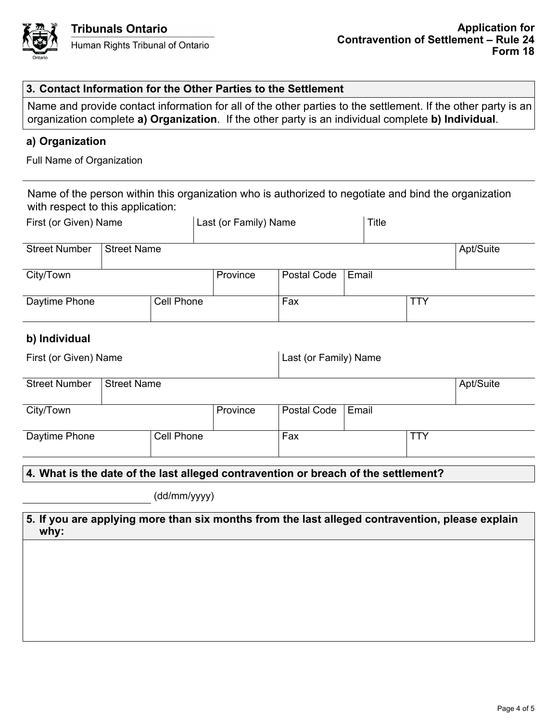

## **3. Contact Information for the Other Parties to the Settlement**

Name and provide contact information for all of the other parties to the settlement. If the other party is an organization complete **a) Organization**. If the other party is an individual complete **b) Individual**.

## **a) Organization**

Full Name of Organization

Name of the person within this organization who is authorized to negotiate and bind the organization with respect to this application:

| First (or Given) Name |                    |            | Last (or Family) Name |             |       | Title |     |           |
|-----------------------|--------------------|------------|-----------------------|-------------|-------|-------|-----|-----------|
| <b>Street Number</b>  | <b>Street Name</b> |            |                       |             |       |       |     | Apt/Suite |
| City/Town             |                    |            | Province              | Postal Code | Email |       |     |           |
| Daytime Phone         |                    | Cell Phone |                       | Fax         |       |       | TTY |           |

## **b) Individual**

| First (or Given) Name       |                    |  |          | Last (or Family) Name |            |  |           |  |
|-----------------------------|--------------------|--|----------|-----------------------|------------|--|-----------|--|
| <b>Street Number</b>        | <b>Street Name</b> |  |          |                       |            |  | Apt/Suite |  |
| City/Town                   |                    |  | Province | Postal Code           | Email      |  |           |  |
| Cell Phone<br>Daytime Phone |                    |  | Fax      |                       | <b>TTY</b> |  |           |  |

### **4. What is the date of the last alleged contravention or breach of the settlement?**

(dd/mm/yyyy)

### **5. If you are applying more than six months from the last alleged contravention, please explain why:**